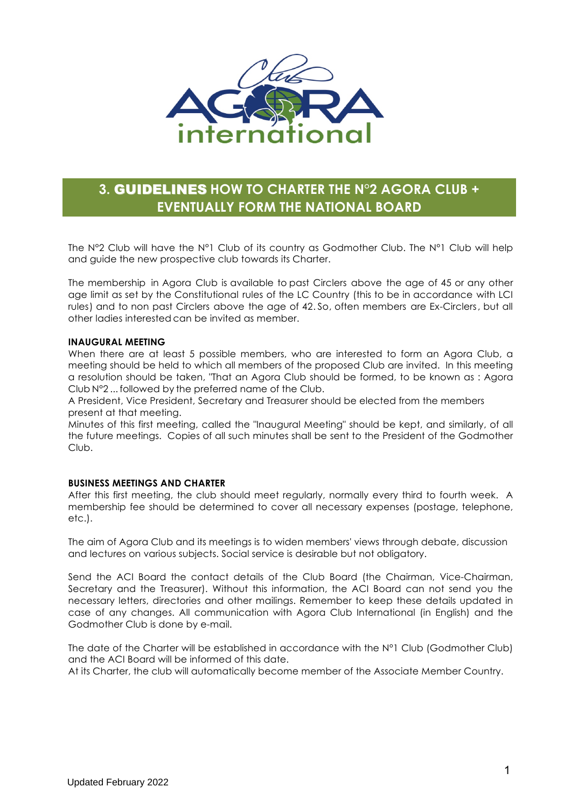

# **3.** GUIDELINES **HOW TO CHARTER THE N°2 AGORA CLUB + EVENTUALLY FORM THE NATIONAL BOARD**

The N°2 Club will have the N°1 Club of its country as Godmother Club. The N°1 Club will help and guide the new prospective club towards its Charter.

The membership in Agora Club is available to past Circlers above the age of 45 or any other age limit as set by the Constitutional rules of the LC Country (this to be in accordance with LCI rules) and to non past Circlers above the age of 42. So, often members are Ex-Circlers, but all other ladies interested can be invited as member.

#### **INAUGURAL MEETING**

When there are at least 5 possible members, who are interested to form an Agora Club, a meeting should be held to which all members of the proposed Club are invited. In this meeting a resolution should be taken, "That an Agora Club should be formed, to be known as : Agora Club N°2 ... followed by the preferred name of the Club.

A President, Vice President, Secretary and Treasurer should be elected from the members present at that meeting.

Minutes of this first meeting, called the "Inaugural Meeting" should be kept, and similarly, of all the future meetings. Copies of all such minutes shall be sent to the President of the Godmother Club.

### **BUSINESS MEETINGS AND CHARTER**

After this first meeting, the club should meet regularly, normally every third to fourth week. A membership fee should be determined to cover all necessary expenses (postage, telephone, etc.).

The aim of Agora Club and its meetings is to widen members' views through debate, discussion and lectures on various subjects. Social service is desirable but not obligatory.

Send the ACI Board the contact details of the Club Board (the Chairman, Vice-Chairman, Secretary and the Treasurer). Without this information, the ACI Board can not send you the necessary letters, directories and other mailings. Remember to keep these details updated in case of any changes. All communication with Agora Club International (in English) and the Godmother Club is done by e-mail.

The date of the Charter will be established in accordance with the N°1 Club (Godmother Club) and the ACI Board will be informed of this date.

At its Charter, the club will automatically become member of the Associate Member Country.